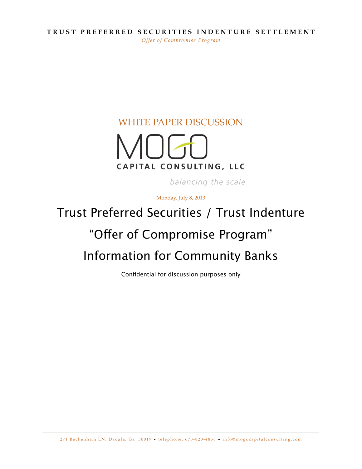#### **TRUST PREFERRED SECURITIES INDENTURE SETTLEMENT** *Offer of Compromise Program*

#### WHITE PAPER DISCUSSION



balancing the scale

Monday, July 8, 2013

# Trust Preferred Securities / Trust Indenture

# "Offer of Compromise Program"

# Information for Community Banks

Confidential for discussion purposes only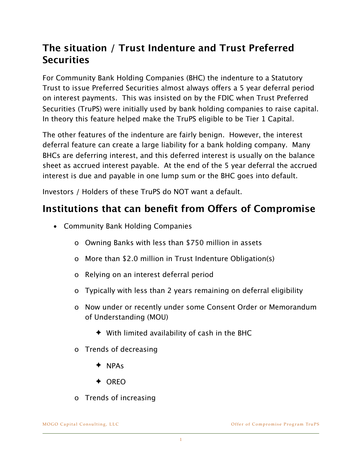## **The situation / Trust Indenture and Trust Preferred Securities**

For Community Bank Holding Companies (BHC) the indenture to a Statutory Trust to issue Preferred Securities almost always offers a 5 year deferral period on interest payments. This was insisted on by the FDIC when Trust Preferred Securities (TruPS) were initially used by bank holding companies to raise capital. In theory this feature helped make the TruPS eligible to be Tier 1 Capital.

The other features of the indenture are fairly benign. However, the interest deferral feature can create a large liability for a bank holding company. Many BHCs are deferring interest, and this deferred interest is usually on the balance sheet as accrued interest payable. At the end of the 5 year deferral the accrued interest is due and payable in one lump sum or the BHC goes into default.

Investors / Holders of these TruPS do NOT want a default.

#### **Institutions that can benefit from Ofers of Compromise**

- Community Bank Holding Companies
	- o Owning Banks with less than \$750 million in assets
	- o More than \$2.0 million in Trust Indenture Obligation(s)
	- o Relying on an interest deferral period
	- o Typically with less than 2 years remaining on deferral eligibility
	- o Now under or recently under some Consent Order or Memorandum of Understanding (MOU)
		- $\blacklozenge$  With limited availability of cash in the BHC
	- o Trends of decreasing
		- ✦ NPAs
		- ✦ OREO
	- o Trends of increasing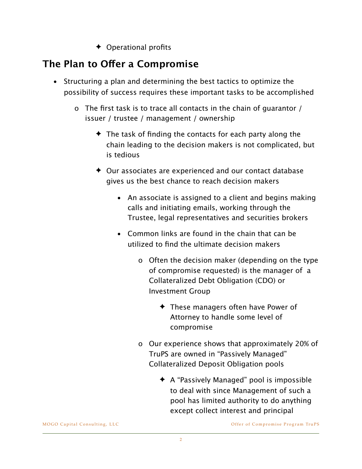✦ Operational profits

## **The Plan to Ofer a Compromise**

- Structuring a plan and determining the best tactics to optimize the possibility of success requires these important tasks to be accomplished
	- o The first task is to trace all contacts in the chain of guarantor / issuer / trustee / management / ownership
		- $\triangle$  The task of finding the contacts for each party along the chain leading to the decision makers is not complicated, but is tedious
		- ✦ Our associates are experienced and our contact database gives us the best chance to reach decision makers
			- An associate is assigned to a client and begins making calls and initiating emails, working through the Trustee, legal representatives and securities brokers
			- Common links are found in the chain that can be utilized to find the ultimate decision makers
				- o Often the decision maker (depending on the type of compromise requested) is the manager of a Collateralized Debt Obligation (CDO) or Investment Group
					- ✦ These managers often have Power of Attorney to handle some level of compromise
				- o Our experience shows that approximately 20% of TruPS are owned in "Passively Managed" Collateralized Deposit Obligation pools
					- ✦ A "Passively Managed" pool is impossible to deal with since Management of such a pool has limited authority to do anything except collect interest and principal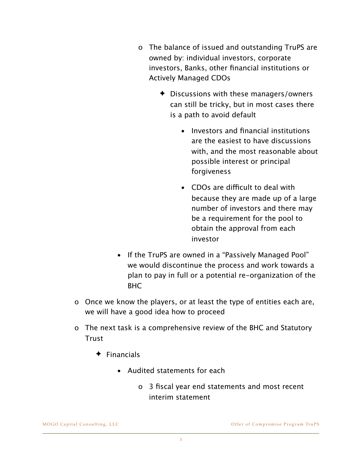- o The balance of issued and outstanding TruPS are owned by: individual investors, corporate investors, Banks, other financial institutions or Actively Managed CDOs
	- ✦ Discussions with these managers/owners can still be tricky, but in most cases there is a path to avoid default
		- Investors and financial institutions are the easiest to have discussions with, and the most reasonable about possible interest or principal forgiveness
		- CDOs are difficult to deal with because they are made up of a large number of investors and there may be a requirement for the pool to obtain the approval from each investor
- If the TruPS are owned in a "Passively Managed Pool" we would discontinue the process and work towards a plan to pay in full or a potential re-organization of the BHC
- o Once we know the players, or at least the type of entities each are, we will have a good idea how to proceed
- o The next task is a comprehensive review of the BHC and Statutory **Trust** 
	- ✦ Financials
		- Audited statements for each
			- o 3 fiscal year end statements and most recent interim statement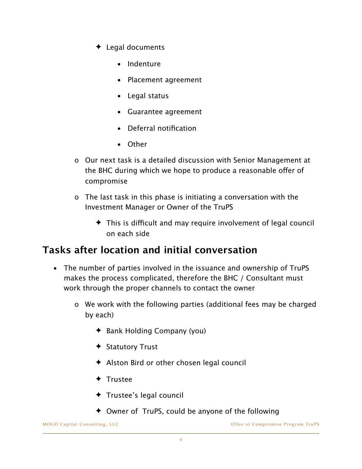- ✦ Legal documents
	- Indenture
	- Placement agreement
	- Legal status
	- Guarantee agreement
	- Deferral notification
	- Other
- o Our next task is a detailed discussion with Senior Management at the BHC during which we hope to produce a reasonable offer of compromise
- o The last task in this phase is initiating a conversation with the Investment Manager or Owner of the TruPS
	- $\triangle$  This is difficult and may require involvement of legal council on each side

#### **Tasks after location and initial conversation**

- The number of parties involved in the issuance and ownership of TruPS makes the process complicated, therefore the BHC / Consultant must work through the proper channels to contact the owner
	- o We work with the following parties (additional fees may be charged by each)
		- ✦ Bank Holding Company (you)
		- ✦ Statutory Trust
		- ✦ Alston Bird or other chosen legal council
		- ✦ Trustee
		- ✦ Trustee's legal council
		- ✦ Owner of TruPS, could be anyone of the following

MOGO Capital Consulting, LLC and the Compromise Program TruPS offer of Compromise Program TruPS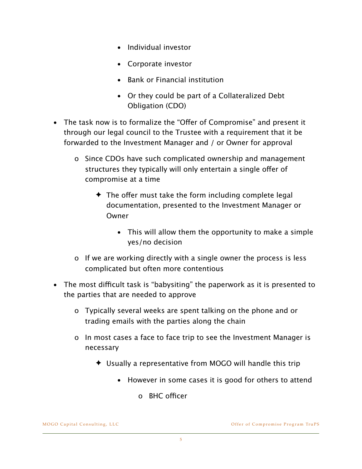- Individual investor
- Corporate investor
- Bank or Financial institution
- Or they could be part of a Collateralized Debt Obligation (CDO)
- The task now is to formalize the "Offer of Compromise" and present it through our legal council to the Trustee with a requirement that it be forwarded to the Investment Manager and / or Owner for approval
	- o Since CDOs have such complicated ownership and management structures they typically will only entertain a single offer of compromise at a time
		- $\triangle$  The offer must take the form including complete legal documentation, presented to the Investment Manager or Owner
			- This will allow them the opportunity to make a simple yes/no decision
	- o If we are working directly with a single owner the process is less complicated but often more contentious
- The most difficult task is "babysiting" the paperwork as it is presented to the parties that are needed to approve
	- o Typically several weeks are spent talking on the phone and or trading emails with the parties along the chain
	- o In most cases a face to face trip to see the Investment Manager is necessary
		- ✦ Usually a representative from MOGO will handle this trip
			- However in some cases it is good for others to attend
				- $O$  BHC officer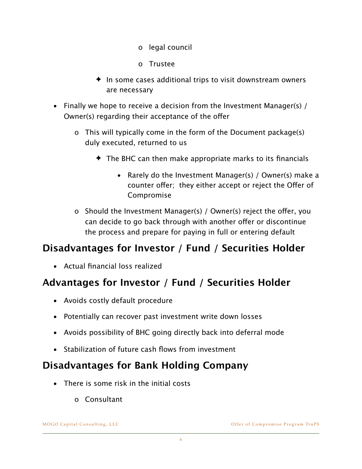- o legal council
- o Trustee
- $\triangleq$  In some cases additional trips to visit downstream owners are necessary
- Finally we hope to receive a decision from the Investment Manager(s) / Owner(s) regarding their acceptance of the offer
	- o This will typically come in the form of the Document package(s) duly executed, returned to us
		- $\triangle$  The BHC can then make appropriate marks to its financials
			- Rarely do the Investment Manager(s) / Owner(s) make a counter offer; they either accept or reject the Offer of Compromise
	- o Should the Investment Manager(s) / Owner(s) reject the ofer, you can decide to go back through with another offer or discontinue the process and prepare for paying in full or entering default

## **Disadvantages for Investor / Fund / Securities Holder**

• Actual financial loss realized

## **Advantages for Investor / Fund / Securities Holder**

- Avoids costly default procedure
- Potentially can recover past investment write down losses
- Avoids possibility of BHC going directly back into deferral mode
- Stabilization of future cash flows from investment

#### **Disadvantages for Bank Holding Company**

- There is some risk in the initial costs
	- o Consultant